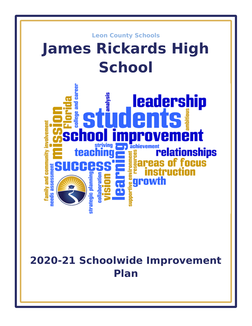

# **2020-21 Schoolwide Improvement Plan**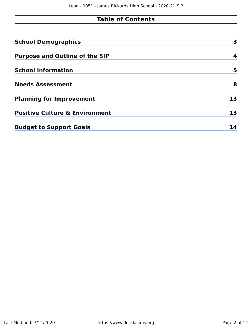# **Table of Contents**

| <b>School Demographics</b>                | 3  |
|-------------------------------------------|----|
| <b>Purpose and Outline of the SIP</b>     | 4  |
| <b>School Information</b>                 | 5  |
| <b>Needs Assessment</b>                   | 8  |
| <b>Planning for Improvement</b>           | 13 |
| <b>Positive Culture &amp; Environment</b> | 13 |
| <b>Budget to Support Goals</b>            | 14 |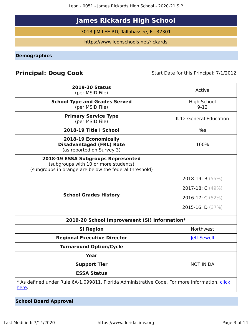Leon - 0051 - James Rickards High School - 2020-21 SIP

# **James Rickards High School**

3013 JIM LEE RD, Tallahassee, FL 32301

https://www.leonschools.net/rickards

<span id="page-2-0"></span>**Demographics**

# **Principal: Doug Cook** Start Date for this Principal: 7/1/2012

| <b>2019-20 Status</b><br>(per MSID File)                                                                                            | Active                         |
|-------------------------------------------------------------------------------------------------------------------------------------|--------------------------------|
| <b>School Type and Grades Served</b><br>(per MSID File)                                                                             | <b>High School</b><br>$9 - 12$ |
| <b>Primary Service Type</b><br>(per MSID File)                                                                                      | K-12 General Education         |
| 2018-19 Title I School                                                                                                              | Yes                            |
| 2018-19 Economically<br><b>Disadvantaged (FRL) Rate</b><br>(as reported on Survey 3)                                                | 100%                           |
| 2018-19 ESSA Subgroups Represented<br>(subgroups with 10 or more students)<br>(subgroups in orange are below the federal threshold) |                                |
|                                                                                                                                     | 2018-19: B $(55%)$             |
|                                                                                                                                     | 2017-18: C (49%)               |
| <b>School Grades History</b>                                                                                                        | 2016-17: C (52%)               |
|                                                                                                                                     | 2015-16: D (37%)               |
| 2019-20 School Improvement (SI) Information*                                                                                        |                                |
| <b>SI Region</b>                                                                                                                    | Northwest                      |
| <b>Regional Executive Director</b>                                                                                                  | <b>Jeff Sewell</b>             |
| <b>Turnaround Option/Cycle</b>                                                                                                      |                                |
| Year                                                                                                                                |                                |
| <b>Support Tier</b>                                                                                                                 | <b>NOT IN DA</b>               |
| <b>ESSA Status</b>                                                                                                                  |                                |
| * As defined under Rule 6A-1.099811, Florida Administrative Code. For more information, click<br><u>here</u> .                      |                                |

**School Board Approval**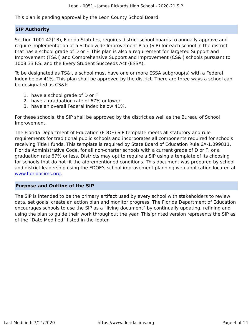This plan is pending approval by the Leon County School Board.

#### **SIP Authority**

Section 1001.42(18), Florida Statutes, requires district school boards to annually approve and require implementation of a Schoolwide Improvement Plan (SIP) for each school in the district that has a school grade of D or F. This plan is also a requirement for Targeted Support and Improvement (TS&I) and Comprehensive Support and Improvement (CS&I) schools pursuant to 1008.33 F.S. and the Every Student Succeeds Act (ESSA).

To be designated as TS&I, a school must have one or more ESSA subgroup(s) with a Federal Index below 41%. This plan shall be approved by the district. There are three ways a school can be designated as CS&I:

- 1. have a school grade of D or F
- 2. have a graduation rate of 67% or lower
- 3. have an overall Federal Index below 41%.

For these schools, the SIP shall be approved by the district as well as the Bureau of School Improvement.

The Florida Department of Education (FDOE) SIP template meets all statutory and rule requirements for traditional public schools and incorporates all components required for schools receiving Title I funds. This template is required by State Board of Education Rule 6A-1.099811, Florida Administrative Code, for all non-charter schools with a current grade of D or F, or a graduation rate 67% or less. Districts may opt to require a SIP using a template of its choosing for schools that do not fit the aforementioned conditions. This document was prepared by school and district leadership using the FDOE's school improvement planning web application located at [www.floridacims.org.](https://www.floridacims.org)

#### <span id="page-3-0"></span>**Purpose and Outline of the SIP**

The SIP is intended to be the primary artifact used by every school with stakeholders to review data, set goals, create an action plan and monitor progress. The Florida Department of Education encourages schools to use the SIP as a "living document" by continually updating, refining and using the plan to guide their work throughout the year. This printed version represents the SIP as of the "Date Modified" listed in the footer.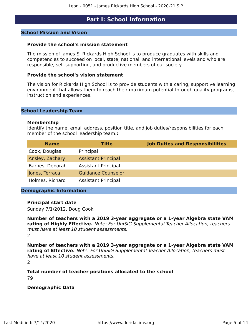# **Part I: School Information**

#### <span id="page-4-0"></span>**School Mission and Vision**

#### **Provide the school's mission statement**

The mission of James S. Rickards High School is to produce graduates with skills and competencies to succeed on local, state, national, and international levels and who are responsible, self-supporting, and productive members of our society.

#### **Provide the school's vision statement**

The vision for Rickards High School is to provide students with a caring, supportive learning environment that allows them to reach their maximum potential through quality programs, instruction and experiences.

#### **School Leadership Team**

#### **Membership**

Identify the name, email address, position title, and job duties/responsibilities for each member of the school leadership team.**:**

| <b>Name</b>     | <b>Title</b>               | <b>Job Duties and Responsibilities</b> |
|-----------------|----------------------------|----------------------------------------|
| Cook, Douglas   | Principal                  |                                        |
| Ansley, Zachary | <b>Assistant Principal</b> |                                        |
| Barnes, Deborah | <b>Assistant Principal</b> |                                        |
| Jones, Terraca  | <b>Guidance Counselor</b>  |                                        |
| Holmes, Richard | <b>Assistant Principal</b> |                                        |

#### **Demographic Information**

#### **Principal start date**

Sunday 7/1/2012, Doug Cook

**Number of teachers with a 2019 3-year aggregate or a 1-year Algebra state VAM rating of Highly Effective.** Note: For UniSIG Supplemental Teacher Allocation, teachers must have at least 10 student assessments. 2

**Number of teachers with a 2019 3-year aggregate or a 1-year Algebra state VAM rating of Effective.** Note: For UniSIG Supplemental Teacher Allocation, teachers must have at least 10 student assessments.

 $\mathcal{L}$ 

**Total number of teacher positions allocated to the school** 79

#### **Demographic Data**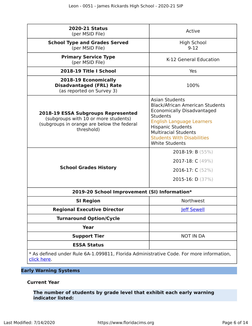| <b>2020-21 Status</b><br>(per MSID File)                                                                                                      | Active                                                                                                                                                                                                                                                                               |
|-----------------------------------------------------------------------------------------------------------------------------------------------|--------------------------------------------------------------------------------------------------------------------------------------------------------------------------------------------------------------------------------------------------------------------------------------|
| <b>School Type and Grades Served</b><br>(per MSID File)                                                                                       | High School<br>$9-12$                                                                                                                                                                                                                                                                |
| <b>Primary Service Type</b><br>(per MSID File)                                                                                                | K-12 General Education                                                                                                                                                                                                                                                               |
| 2018-19 Title I School                                                                                                                        | Yes                                                                                                                                                                                                                                                                                  |
| 2018-19 Economically<br><b>Disadvantaged (FRL) Rate</b><br>(as reported on Survey 3)                                                          | 100%                                                                                                                                                                                                                                                                                 |
| <b>2018-19 ESSA Subgroups Represented</b><br>(subgroups with 10 or more students)<br>(subgroups in orange are below the federal<br>threshold) | <b>Asian Students</b><br><b>Black/African American Students</b><br><b>Economically Disadvantaged</b><br><b>Students</b><br><b>English Language Learners</b><br><b>Hispanic Students</b><br><b>Multiracial Students</b><br><b>Students With Disabilities</b><br><b>White Students</b> |
| <b>School Grades History</b>                                                                                                                  | 2018-19: B $(55%)$<br>2017-18: $C(49%)$<br>2016-17: $C(52%)$<br>2015-16: $D(37%)$                                                                                                                                                                                                    |
| 2019-20 School Improvement (SI) Information*                                                                                                  |                                                                                                                                                                                                                                                                                      |
| <b>SI Region</b>                                                                                                                              | Northwest                                                                                                                                                                                                                                                                            |
| <b>Regional Executive Director</b>                                                                                                            | <b>Jeff Sewell</b>                                                                                                                                                                                                                                                                   |
| <b>Turnaround Option/Cycle</b>                                                                                                                |                                                                                                                                                                                                                                                                                      |
| <b>Year</b>                                                                                                                                   |                                                                                                                                                                                                                                                                                      |
| <b>Support Tier</b>                                                                                                                           | <b>NOT IN DA</b>                                                                                                                                                                                                                                                                     |
| <b>ESSA Status</b>                                                                                                                            |                                                                                                                                                                                                                                                                                      |
| * As defined under Rule 6A-1.099811, Florida Administrative Code. For more information,<br>click here.                                        |                                                                                                                                                                                                                                                                                      |

# **Early Warning Systems**

#### **Current Year**

**The number of students by grade level that exhibit each early warning indicator listed:**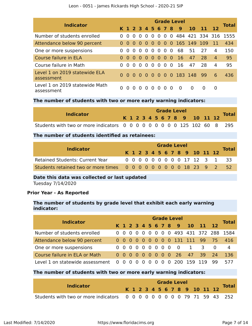| <b>Indicator</b>                             |              |          |          |          |           |                |          |                |          | <b>Grade Level</b>      |           |                 |                | <b>Total</b> |
|----------------------------------------------|--------------|----------|----------|----------|-----------|----------------|----------|----------------|----------|-------------------------|-----------|-----------------|----------------|--------------|
|                                              |              |          |          |          |           |                |          |                |          | K 1 2 3 4 5 6 7 8 9     | <b>10</b> | -11             | -12            |              |
| Number of students enrolled                  | <sup>n</sup> | $\Omega$ | $\Omega$ | $\Omega$ | $\Omega$  | $\Omega$       | $\Omega$ | $0\quad 0$     |          |                         |           | 484 421 334 316 |                | 1555         |
| Attendance below 90 percent                  | $\Omega$     | 000      |          |          |           | 0 O            | $\Omega$ |                |          | 0 0 165 149             |           | -109            | -11            | 434          |
| One or more suspensions                      | 0            | $\Omega$ | $\Omega$ | $\Omega$ | $\Omega$  | $\Omega$       | $\Omega$ | 0 <sub>0</sub> |          | 68                      | 51        | 27              | 4              | 150          |
| Course failure in ELA                        | $\Omega$     | $\Omega$ | $\Omega$ | $\Omega$ | $\bullet$ | $\bullet$      | $\Omega$ | 0 <sub>0</sub> |          | <b>16</b>               | 47        | 28              | $\overline{4}$ | 95           |
| Course failure in Math                       | 0            | $\Omega$ | $\Omega$ | $\Omega$ | $\Omega$  | $\overline{0}$ | $\Omega$ | $0\quad 0$     |          | 16                      | 47        | 28              | 4              | 95           |
| Level 1 on 2019 statewide ELA<br>assessment  | $\Omega$     |          |          |          |           |                |          |                |          | 0 0 0 0 0 0 0 0 183 148 |           | 99              | 6              | 436          |
| Level 1 on 2019 statewide Math<br>assessment | 0            | $\Omega$ | $\Omega$ | $\Omega$ | $\Omega$  | $\Omega$       | $\Omega$ | $\Omega$       | $\Omega$ | - 0                     | $\Omega$  | $\Omega$        | $\Omega$       |              |

### **The number of students with two or more early warning indicators:**

| Indicator                                                               |  |  |  |  |  | <b>Grade Level</b> |                              |  |              |
|-------------------------------------------------------------------------|--|--|--|--|--|--------------------|------------------------------|--|--------------|
|                                                                         |  |  |  |  |  |                    | K 1 2 3 4 5 6 7 8 9 10 11 12 |  | <b>Total</b> |
| Students with two or more indicators 0 0 0 0 0 0 0 0 0 125 102 60 8 295 |  |  |  |  |  |                    |                              |  |              |

#### **The number of students identified as retainees:**

| <b>Indicator</b>                                                   | <b>Grade Level</b> |  |  |  |  |  |  |  |  |  |  |                              |  |                                |  |
|--------------------------------------------------------------------|--------------------|--|--|--|--|--|--|--|--|--|--|------------------------------|--|--------------------------------|--|
|                                                                    |                    |  |  |  |  |  |  |  |  |  |  | K 1 2 3 4 5 6 7 8 9 10 11 12 |  | <b>Total</b>                   |  |
| <b>Retained Students: Current Year</b>                             |                    |  |  |  |  |  |  |  |  |  |  |                              |  | 0 0 0 0 0 0 0 0 0 17 12 3 1 33 |  |
| Students retained two or more times 0 0 0 0 0 0 0 0 0 18 23 9 2 52 |                    |  |  |  |  |  |  |  |  |  |  |                              |  |                                |  |

#### **Date this data was collected or last updated**

Tuesday 7/14/2020

## **Prior Year - As Reported**

#### **The number of students by grade level that exhibit each early warning indicator:**

| <b>Indicator</b>                | <b>Grade Level</b> |          |                                 |  |          |            |   |   |                |                           |              |                         |                |                          |  |
|---------------------------------|--------------------|----------|---------------------------------|--|----------|------------|---|---|----------------|---------------------------|--------------|-------------------------|----------------|--------------------------|--|
|                                 |                    |          |                                 |  |          |            |   |   |                | K 1 2 3 4 5 6 7 8 9 10    |              | $11$ 12                 |                | <b>Total</b>             |  |
| Number of students enrolled     |                    |          | $0\quad 0\quad 0\quad 0$        |  | $\Omega$ | $0\quad 0$ |   |   |                |                           |              |                         |                | 0 0 493 431 372 288 1584 |  |
| Attendance below 90 percent     |                    |          |                                 |  |          |            |   |   |                | 0 0 0 0 0 0 0 0 0 131 111 |              | -99                     | $-75$          | 416                      |  |
| One or more suspensions         |                    |          | $0\quad 0\quad 0\quad 0\quad 0$ |  |          |            |   |   |                | $000000$                  | $\mathbf{1}$ | $\overline{\mathbf{3}}$ | $\overline{0}$ | 4                        |  |
| Course failure in ELA or Math   |                    |          | $0\,0\,0\,0\,0$                 |  |          |            |   |   |                | 0 0 0 0 26                | 47           |                         | 39 24          | 136                      |  |
| Level 1 on statewide assessment | $\overline{0}$     | $\Omega$ | $0\quad 0$                      |  |          |            | 0 | 0 | $\overline{0}$ | 200                       | 159          |                         | 99             |                          |  |

### **The number of students with two or more early warning indicators:**

| <b>Indicator</b>                                                         |  |  |  |  | <b>Grade Level</b> |  |                              |  |              |
|--------------------------------------------------------------------------|--|--|--|--|--------------------|--|------------------------------|--|--------------|
|                                                                          |  |  |  |  |                    |  | K 1 2 3 4 5 6 7 8 9 10 11 12 |  | <b>Total</b> |
| Students with two or more indicators 0 0 0 0 0 0 0 0 0 0 79 71 59 43 252 |  |  |  |  |                    |  |                              |  |              |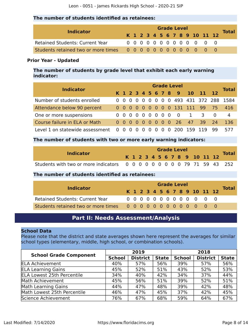#### **The number of students identified as retainees:**

| <b>Indicator</b>                |  |  |  | <b>Grade Level</b> |  |  |                              |              |
|---------------------------------|--|--|--|--------------------|--|--|------------------------------|--------------|
|                                 |  |  |  |                    |  |  | K 1 2 3 4 5 6 7 8 9 10 11 12 | <b>Total</b> |
| Retained Students: Current Year |  |  |  |                    |  |  | 0 0 0 0 0 0 0 0 0 0 0 0 0    |              |
|                                 |  |  |  |                    |  |  |                              |              |

#### **Prior Year - Updated**

**The number of students by grade level that exhibit each early warning indicator:**

| <b>Indicator</b>                | <b>Grade Level</b> |          |                          |  |           |              |          |          |          |                     |           |               |                     |              |  |
|---------------------------------|--------------------|----------|--------------------------|--|-----------|--------------|----------|----------|----------|---------------------|-----------|---------------|---------------------|--------------|--|
|                                 |                    |          |                          |  |           |              |          |          |          | K 1 2 3 4 5 6 7 8 9 | <b>10</b> | $11 \quad 12$ |                     | <b>Total</b> |  |
| Number of students enrolled     |                    |          | $0\quad 0\quad 0\quad 0$ |  | $0\,0\,0$ |              |          |          |          |                     |           |               | 0 0 493 431 372 288 | 1584         |  |
| Attendance below 90 percent     |                    |          | $0\quad 0\quad 0\quad 0$ |  |           |              |          |          |          | 0 0 0 0 0 131 111   |           | -99           | $-75$               | 416          |  |
| One or more suspensions         |                    |          | $0\quad 0\quad 0\quad 0$ |  | $00000$   |              |          |          |          | $\Omega$            |           | 3             | $\Omega$            | 4            |  |
| Course failure in ELA or Math   |                    |          | 0 0 0 0 0 0 0 0 0        |  |           |              |          |          |          | - 26 -              | 47        | -39.          | 74                  | 136          |  |
| Level 1 on statewide assessment | 0                  | $\Omega$ |                          |  |           | $\mathbf{U}$ | $\Omega$ | $\Omega$ | $\Omega$ | 200                 | 159       |               | qq                  | 577          |  |

#### **The number of students with two or more early warning indicators:**

| <b>Indicator</b>                                                         |  |  |  | <b>Grade Level</b> |  |  |                              |              |
|--------------------------------------------------------------------------|--|--|--|--------------------|--|--|------------------------------|--------------|
|                                                                          |  |  |  |                    |  |  | K 1 2 3 4 5 6 7 8 9 10 11 12 | <b>Total</b> |
| Students with two or more indicators 0 0 0 0 0 0 0 0 0 0 79 71 59 43 252 |  |  |  |                    |  |  |                              |              |

#### **The number of students identified as retainees:**

|                                        | <b>Grade Level</b> |  |  |  |  |  |  |  |  |  |                              |              |
|----------------------------------------|--------------------|--|--|--|--|--|--|--|--|--|------------------------------|--------------|
| <b>Indicator</b>                       |                    |  |  |  |  |  |  |  |  |  | K 1 2 3 4 5 6 7 8 9 10 11 12 | <b>Total</b> |
| <b>Retained Students: Current Year</b> |                    |  |  |  |  |  |  |  |  |  | 0 0 0 0 0 0 0 0 0 0 0 0 0    |              |
|                                        |                    |  |  |  |  |  |  |  |  |  |                              |              |

# **Part II: Needs Assessment/Analysis**

#### <span id="page-7-0"></span>**School Data**

Please note that the district and state averages shown here represent the averages for similar school types (elementary, middle, high school, or combination schools).

| <b>School Grade Component</b>     |               | 2019            |              |               | 2018            |              |
|-----------------------------------|---------------|-----------------|--------------|---------------|-----------------|--------------|
|                                   | <b>School</b> | <b>District</b> | <b>State</b> | <b>School</b> | <b>District</b> | <b>State</b> |
| <b>ELA Achievement</b>            | 40%           | 57%             | 56%          | 39%           | 57%             | 56%          |
| <b>ELA Learning Gains</b>         | 45%           | 52%             | 51%          | 43%           | 52%             | 53%          |
| <b>ELA Lowest 25th Percentile</b> | 34%           | 40%             | 42%          | 34%           | 37%             | 44%          |
| Math Achievement                  | 45%           | 56%             | 51%          | 39%           | 52%             | 51%          |
| <b>Math Learning Gains</b>        | 44%           | 47%             | 48%          | 39%           | 42%             | 48%          |
| Math Lowest 25th Percentile       | 46%           | 47%             | 45%          | 37%           | 42%             | 45%          |
| Science Achievement               | 76%           | 67%             | 68%          | 59%           | 64%             | 67%          |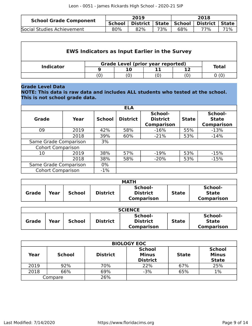| <b>School Grade Component</b> |               | 2019 |     | 2018 |                                              |     |  |
|-------------------------------|---------------|------|-----|------|----------------------------------------------|-----|--|
|                               | <b>School</b> |      |     |      | District   State   School   District   State |     |  |
| Social Studies Achievement    | 80%           | 82%  | 73% | 68%  | 77%                                          | 71% |  |

| <b>EWS Indicators as Input Earlier in the Survey</b> |                                          |              |  |  |  |  |  |  |  |  |  |  |
|------------------------------------------------------|------------------------------------------|--------------|--|--|--|--|--|--|--|--|--|--|
| <b>Indicator</b>                                     | <b>Grade Level (prior year reported)</b> | <b>Total</b> |  |  |  |  |  |  |  |  |  |  |
|                                                      |                                          |              |  |  |  |  |  |  |  |  |  |  |
|                                                      |                                          |              |  |  |  |  |  |  |  |  |  |  |

### **Grade Level Data**

**NOTE: This data is raw data and includes ALL students who tested at the school. This is not school grade data.**

|                          |      |               | <b>ELA</b>      |                                                 |              |                                              |
|--------------------------|------|---------------|-----------------|-------------------------------------------------|--------------|----------------------------------------------|
| Grade                    | Year | <b>School</b> | <b>District</b> | School-<br><b>District</b><br><b>Comparison</b> | <b>State</b> | School-<br><b>State</b><br><b>Comparison</b> |
| 09                       | 2019 | 42%           | 58%             | $-16%$                                          | 55%          | $-13%$                                       |
| 2018                     |      | 39%           | 60%             | $-21%$                                          | 53%          | $-14%$                                       |
| Same Grade Comparison    |      | 3%            |                 |                                                 |              |                                              |
| <b>Cohort Comparison</b> |      |               |                 |                                                 |              |                                              |
| 10                       | 2019 | 38%           | 57%             | $-19%$                                          | 53%          | $-15%$                                       |
|                          | 2018 | 38%           | 58%             | $-20%$                                          | 53%          | $-15%$                                       |
| Same Grade Comparison    |      | $0\%$         |                 |                                                 |              |                                              |
| <b>Cohort Comparison</b> |      | $-1%$         |                 |                                                 |              |                                              |

|              |      |               |                 | <b>MATH</b>                                     |              |                                              |
|--------------|------|---------------|-----------------|-------------------------------------------------|--------------|----------------------------------------------|
| <b>Grade</b> | Year | <b>School</b> | <b>District</b> | School-<br><b>District</b><br><b>Comparison</b> | <b>State</b> | School-<br><b>State</b><br><b>Comparison</b> |

|              | <b>SCIENCE</b> |               |                 |                                                 |              |                                              |  |  |  |  |  |
|--------------|----------------|---------------|-----------------|-------------------------------------------------|--------------|----------------------------------------------|--|--|--|--|--|
| <b>Grade</b> | Year           | <b>School</b> | <b>District</b> | School-<br><b>District</b><br><b>Comparison</b> | <b>State</b> | School-<br><b>State</b><br><b>Comparison</b> |  |  |  |  |  |

|      | <b>BIOLOGY EOC</b> |                 |                                                  |              |                                               |  |  |  |  |  |  |  |
|------|--------------------|-----------------|--------------------------------------------------|--------------|-----------------------------------------------|--|--|--|--|--|--|--|
| Year | <b>School</b>      | <b>District</b> | <b>School</b><br><b>Minus</b><br><b>District</b> | <b>State</b> | <b>School</b><br><b>Minus</b><br><b>State</b> |  |  |  |  |  |  |  |
| 2019 | 92%                | 70%             | 22%                                              | 67%          | 25%                                           |  |  |  |  |  |  |  |
| 2018 | 66%                | 69%             | $-3%$                                            | 65%          | 1%                                            |  |  |  |  |  |  |  |
|      | Compare            | 26%             |                                                  |              |                                               |  |  |  |  |  |  |  |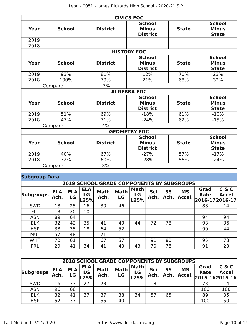|                    |               |                 | <b>CIVICS EOC</b>                                |              |                                               |  |  |  |  |  |  |
|--------------------|---------------|-----------------|--------------------------------------------------|--------------|-----------------------------------------------|--|--|--|--|--|--|
| Year               | <b>School</b> | <b>District</b> | <b>School</b><br><b>Minus</b><br><b>District</b> | <b>State</b> | <b>School</b><br><b>Minus</b><br><b>State</b> |  |  |  |  |  |  |
| 2019               |               |                 |                                                  |              |                                               |  |  |  |  |  |  |
| 2018               |               |                 |                                                  |              |                                               |  |  |  |  |  |  |
| <b>HISTORY EOC</b> |               |                 |                                                  |              |                                               |  |  |  |  |  |  |
| Year               | <b>School</b> | <b>District</b> | <b>School</b><br><b>Minus</b><br><b>District</b> | <b>State</b> | <b>School</b><br><b>Minus</b><br><b>State</b> |  |  |  |  |  |  |
| 2019               | 93%           | 81%             | 12%                                              | 70%          | 23%                                           |  |  |  |  |  |  |
| 2018               | 100%          | 79%             | 21%                                              | 68%          | 32%                                           |  |  |  |  |  |  |
| $-7%$<br>Compare   |               |                 |                                                  |              |                                               |  |  |  |  |  |  |
|                    |               |                 | <b>ALGEBRA EOC</b>                               |              |                                               |  |  |  |  |  |  |
| Year               | <b>School</b> | <b>District</b> | <b>School</b><br><b>Minus</b><br><b>District</b> | <b>State</b> | <b>School</b><br><b>Minus</b><br><b>State</b> |  |  |  |  |  |  |
| 2019               | 51%           | 69%             | $-18%$                                           | 61%          | $-10%$                                        |  |  |  |  |  |  |
| 2018               | 47%           | 71%             | $-24%$                                           | 62%          | $-15%$                                        |  |  |  |  |  |  |
|                    | Compare       | 4%              |                                                  |              |                                               |  |  |  |  |  |  |
|                    |               |                 | <b>GEOMETRY EOC</b>                              |              |                                               |  |  |  |  |  |  |
| Year               | <b>School</b> | <b>District</b> | <b>School</b><br><b>Minus</b><br><b>District</b> | <b>State</b> | <b>School</b><br><b>Minus</b><br><b>State</b> |  |  |  |  |  |  |
| 2019               | 40%           | 67%             | $-27%$                                           | 57%          | $-17%$                                        |  |  |  |  |  |  |
| 2018               | 32%           | 60%             | $-28%$                                           | 56%          | $-24%$                                        |  |  |  |  |  |  |
|                    | Compare       | 8%              |                                                  |              |                                               |  |  |  |  |  |  |

# **Subgroup Data**

|                  |                    |                  |                          | <b>2019 SCHOOL GRADE COMPONENTS BY SUBGROUPS</b> |                   |                           |             |            |                     |              |                                   |
|------------------|--------------------|------------------|--------------------------|--------------------------------------------------|-------------------|---------------------------|-------------|------------|---------------------|--------------|-----------------------------------|
| <b>Subgroups</b> | <b>ELA</b><br>Ach. | <b>ELA</b><br>LG | <b>ELA</b><br>LG<br>L25% | <b>Math</b><br>Ach.                              | <b>Math</b><br>LG | <b>Math</b><br>LG<br>L25% | Sci<br>Ach. | SS<br>Ach. | <b>MS</b><br>Accel. | Grad<br>Rate | C & C<br>Accel<br>2016-17 2016-17 |
| <b>SWD</b>       | 18                 | 25               | 16                       | 30                                               | 46                |                           |             |            |                     | 88           | 14                                |
| ELL              | 13                 | 20               | 10                       |                                                  |                   |                           |             |            |                     |              |                                   |
| <b>ASN</b>       | 89                 | 64               |                          |                                                  |                   |                           |             |            |                     | 94           | 94                                |
| <b>BLK</b>       | 32                 | 42               | 35                       | 41                                               | 40                | 44                        | 72          | 78         |                     | 93           | 36                                |
| <b>HSP</b>       | 38                 | 35               | 18                       | 64                                               | 52                |                           |             |            |                     | 90           | 44                                |
| <b>MUL</b>       | 57                 | 48               |                          | 71                                               |                   |                           |             |            |                     |              |                                   |
| <b>WHT</b>       | 70                 | 61               |                          | 67                                               | 57                |                           | 91          | 80         |                     | 95           | 78                                |
| <b>FRL</b>       | 29                 | 41               | 34                       | 41                                               | 43                | 43                        | 70          | 78         |                     | 91           | 23                                |

|            | <b>2018 SCHOOL GRADE COMPONENTS BY SUBGROUPS</b> |                  |                          |                     |                   |                           |             |            |                     |              |                                               |  |  |  |
|------------|--------------------------------------------------|------------------|--------------------------|---------------------|-------------------|---------------------------|-------------|------------|---------------------|--------------|-----------------------------------------------|--|--|--|
| Subgroups  | <b>ELA</b><br>Ach.                               | <b>ELA</b><br>LG | <b>ELA</b><br>LG<br>.25% | <b>Math</b><br>Ach. | <b>Math</b><br>LG | <b>Math</b><br>LG<br>L25% | Sci<br>Ach. | SS<br>Ach. | <b>MS</b><br>Accel. | Grad<br>Rate | C & C<br><b>Accel</b><br>$2015 - 162015 - 16$ |  |  |  |
| <b>SWD</b> | 16                                               | 33               | 27                       | 23                  |                   |                           | 18          |            |                     | 73           | 14                                            |  |  |  |
| <b>ASN</b> | 96                                               | 66               |                          |                     |                   |                           |             |            |                     | 100          | 100                                           |  |  |  |
| <b>BLK</b> | 32                                               | 41               | 37                       | 37                  | 38                | 34                        | 57          | 65         |                     | 89           | 35                                            |  |  |  |
| <b>HSP</b> | 52                                               | 37               |                          | 55                  | 40                |                           |             |            |                     | 100          | 50                                            |  |  |  |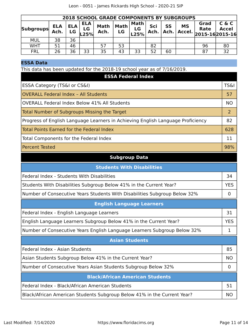|                  | <b>2018 SCHOOL GRADE COMPONENTS BY SUBGROUPS</b> |                  |                          |                     |                   |                    |             |            |                     |                                       |                       |  |  |
|------------------|--------------------------------------------------|------------------|--------------------------|---------------------|-------------------|--------------------|-------------|------------|---------------------|---------------------------------------|-----------------------|--|--|
| <b>Subgroups</b> | <b>ELA</b><br>Ach.                               | <b>ELA</b><br>LG | <b>ELA</b><br>LG<br>L25% | <b>Math</b><br>Ach. | <b>Math</b><br>LG | Math<br>LG<br>L25% | Sci<br>Ach. | SS<br>Ach. | <b>MS</b><br>Accel. | Grad<br><b>Rate</b><br>2015-162015-16 | C & C<br><b>Accel</b> |  |  |
| <b>MUL</b>       | 38                                               | 36               |                          |                     |                   |                    |             |            |                     |                                       |                       |  |  |
| WHT              | 51                                               | 46               |                          | 57                  | 53                |                    | 82          |            |                     | 96                                    | 80                    |  |  |
| <b>FRL</b>       | 26                                               | 36               | 33                       | 35                  | 43                | 33                 | 52          | 60         |                     | 87                                    | 32                    |  |  |

## **ESSA Data**

This data has been updated for the 2018-19 school year as of 7/16/2019.

| <b>ESSA Federal Index</b>                                                       |                 |  |  |
|---------------------------------------------------------------------------------|-----------------|--|--|
| ESSA Category (TS&I or CS&I)                                                    | <b>TS&amp;I</b> |  |  |
| <b>OVERALL Federal Index - All Students</b>                                     |                 |  |  |
| <b>OVERALL Federal Index Below 41% All Students</b>                             |                 |  |  |
| Total Number of Subgroups Missing the Target                                    |                 |  |  |
| Progress of English Language Learners in Achieving English Language Proficiency |                 |  |  |
| Total Points Earned for the Federal Index                                       |                 |  |  |
| Total Components for the Federal Index                                          | 11              |  |  |
| <b>Percent Tested</b>                                                           | 98%             |  |  |

# **Subgroup Data**

| <b>Students With Disabilities</b>                                         |    |  |  |
|---------------------------------------------------------------------------|----|--|--|
| Federal Index - Students With Disabilities                                | 34 |  |  |
| Students With Disabilities Subgroup Below 41% in the Current Year?        |    |  |  |
| Number of Consecutive Years Students With Disabilities Subgroup Below 32% |    |  |  |
| <b>English Language Learners</b>                                          |    |  |  |
| Federal Index - English Language Learners                                 | 31 |  |  |
| English Language Learners Subgroup Below 41% in the Current Year?         |    |  |  |
| Number of Consecutive Years English Language Learners Subgroup Below 32%  |    |  |  |
| <b>Asian Students</b>                                                     |    |  |  |
| Federal Index - Asian Students                                            |    |  |  |
| Asian Students Subgroup Below 41% in the Current Year?                    |    |  |  |
| Number of Consecutive Years Asian Students Subgroup Below 32%             |    |  |  |
| <b>Black/African American Students</b>                                    |    |  |  |
| Federal Index - Black/African American Students                           | 51 |  |  |
| Black/African American Students Subgroup Below 41% in the Current Year?   |    |  |  |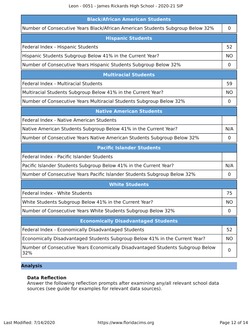| <b>Black/African American Students</b>                                                |             |  |  |
|---------------------------------------------------------------------------------------|-------------|--|--|
| Number of Consecutive Years Black/African American Students Subgroup Below 32%        | $\mathbf 0$ |  |  |
| <b>Hispanic Students</b>                                                              |             |  |  |
| Federal Index - Hispanic Students                                                     | 52          |  |  |
| Hispanic Students Subgroup Below 41% in the Current Year?                             |             |  |  |
| Number of Consecutive Years Hispanic Students Subgroup Below 32%                      | 0           |  |  |
| <b>Multiracial Students</b>                                                           |             |  |  |
| Federal Index - Multiracial Students                                                  | 59          |  |  |
| Multiracial Students Subgroup Below 41% in the Current Year?                          | <b>NO</b>   |  |  |
| Number of Consecutive Years Multiracial Students Subgroup Below 32%                   | $\mathbf 0$ |  |  |
| <b>Native American Students</b>                                                       |             |  |  |
| Federal Index - Native American Students                                              |             |  |  |
| Native American Students Subgroup Below 41% in the Current Year?                      | N/A         |  |  |
| Number of Consecutive Years Native American Students Subgroup Below 32%               | 0           |  |  |
| <b>Pacific Islander Students</b>                                                      |             |  |  |
| Federal Index - Pacific Islander Students                                             |             |  |  |
| Pacific Islander Students Subgroup Below 41% in the Current Year?                     | N/A         |  |  |
| Number of Consecutive Years Pacific Islander Students Subgroup Below 32%              | $\mathbf 0$ |  |  |
| <b>White Students</b>                                                                 |             |  |  |
| Federal Index - White Students                                                        | 75          |  |  |
| White Students Subgroup Below 41% in the Current Year?                                | <b>NO</b>   |  |  |
| Number of Consecutive Years White Students Subgroup Below 32%                         | $\mathbf 0$ |  |  |
| <b>Economically Disadvantaged Students</b>                                            |             |  |  |
| Federal Index - Economically Disadvantaged Students                                   | 52          |  |  |
| Economically Disadvantaged Students Subgroup Below 41% in the Current Year?           | <b>NO</b>   |  |  |
| Number of Consecutive Years Economically Disadvantaged Students Subgroup Below<br>32% |             |  |  |

# **Analysis**

#### **Data Reflection**

Answer the following reflection prompts after examining any/all relevant school data sources (see guide for examples for relevant data sources).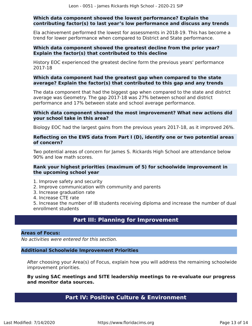#### **Which data component showed the lowest performance? Explain the contributing factor(s) to last year's low performance and discuss any trends**

Ela achievement performed the lowest for assessments in 2018-19. This has become a trend for lower performance when compared to District and State performance.

#### **Which data component showed the greatest decline from the prior year? Explain the factor(s) that contributed to this decline**

History EOC experienced the greatest decline form the previous years' performance 2017-18

#### **Which data component had the greatest gap when compared to the state average? Explain the factor(s) that contributed to this gap and any trends**

The data component that had the biggest gap when compared to the state and district average was Geometry. The gap 2017-18 was 27% between school and district performance and 17% between state and school average performance.

#### **Which data component showed the most improvement? What new actions did your school take in this area?**

Biology EOC had the largest gains from the previous years 2017-18, as it improved 26%.

#### **Reflecting on the EWS data from Part I (D), identify one or two potential areas of concern?**

Two potential areas of concern for James S. Rickards High School are attendance below 90% and low math scores.

#### **Rank your highest priorities (maximum of 5) for schoolwide improvement in the upcoming school year**

- 1. Improve safety and security
- 2. Improve communication with community and parents
- 3. Increase graduation rate
- 4. Increase CTE rate

5. Increase the number of IB students receiving diploma and increase the number of dual enrollment students

# **Part III: Planning for Improvement**

#### <span id="page-12-0"></span>**Areas of Focus:**

No activities were entered for this section.

#### **Additional Schoolwide Improvement Priorities**

After choosing your Area(s) of Focus, explain how you will address the remaining schoolwide improvement priorities.

#### <span id="page-12-1"></span>**By using SAC meetings and SITE leadership meetings to re-evaluate our progress and monitor data sources.**

# **Part IV: Positive Culture & Environment**